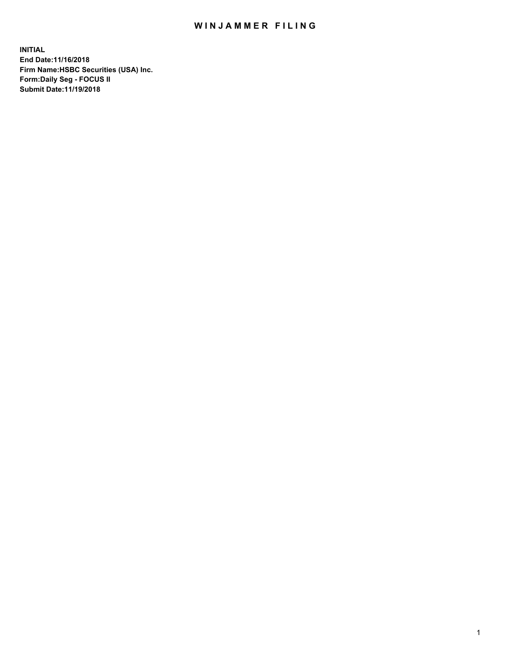## WIN JAMMER FILING

**INITIAL End Date:11/16/2018 Firm Name:HSBC Securities (USA) Inc. Form:Daily Seg - FOCUS II Submit Date:11/19/2018**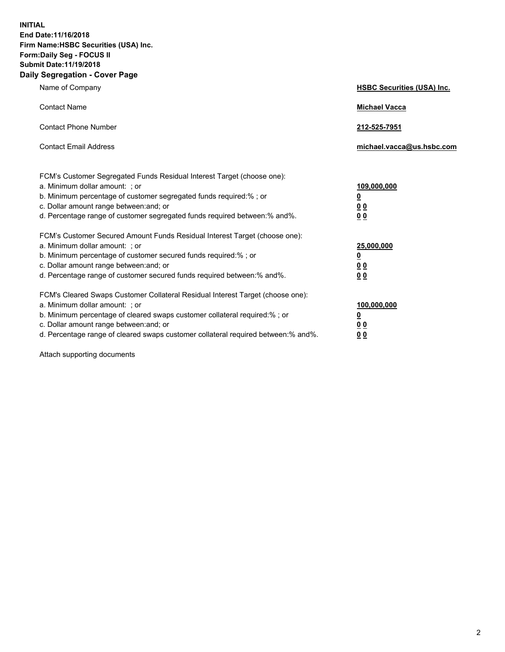**INITIAL End Date:11/16/2018 Firm Name:HSBC Securities (USA) Inc. Form:Daily Seg - FOCUS II Submit Date:11/19/2018 Daily Segregation - Cover Page**

| Name of Company                                                                                                                                                                                                                                                                                                                | <b>HSBC Securities (USA) Inc.</b>                          |
|--------------------------------------------------------------------------------------------------------------------------------------------------------------------------------------------------------------------------------------------------------------------------------------------------------------------------------|------------------------------------------------------------|
| <b>Contact Name</b>                                                                                                                                                                                                                                                                                                            | <b>Michael Vacca</b>                                       |
| <b>Contact Phone Number</b>                                                                                                                                                                                                                                                                                                    | 212-525-7951                                               |
| <b>Contact Email Address</b>                                                                                                                                                                                                                                                                                                   | michael.vacca@us.hsbc.com                                  |
| FCM's Customer Segregated Funds Residual Interest Target (choose one):<br>a. Minimum dollar amount: ; or<br>b. Minimum percentage of customer segregated funds required:% ; or<br>c. Dollar amount range between: and; or<br>d. Percentage range of customer segregated funds required between:% and%.                         | 109,000,000<br>₫<br>0 <sub>0</sub><br>0 <sub>0</sub>       |
| FCM's Customer Secured Amount Funds Residual Interest Target (choose one):<br>a. Minimum dollar amount: ; or<br>b. Minimum percentage of customer secured funds required:% ; or<br>c. Dollar amount range between: and; or<br>d. Percentage range of customer secured funds required between: % and %.                         | 25,000,000<br><u>0</u><br>0 <sub>0</sub><br>0 <sub>0</sub> |
| FCM's Cleared Swaps Customer Collateral Residual Interest Target (choose one):<br>a. Minimum dollar amount: ; or<br>b. Minimum percentage of cleared swaps customer collateral required:% ; or<br>c. Dollar amount range between: and; or<br>d. Percentage range of cleared swaps customer collateral required between:% and%. | 100,000,000<br><u>0</u><br><u>00</u><br>00                 |

Attach supporting documents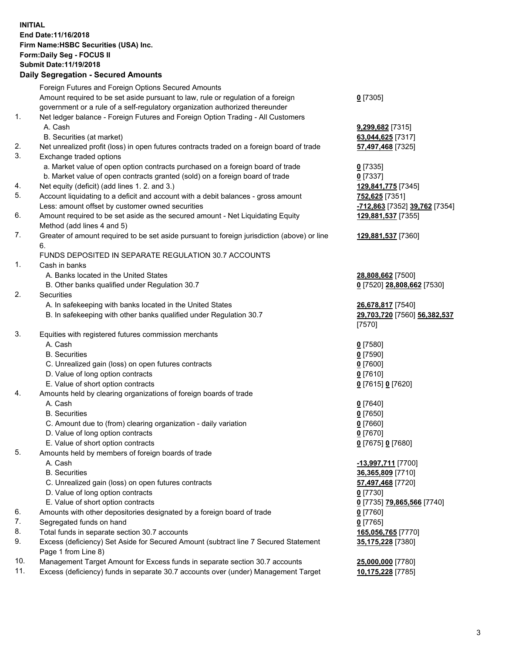**INITIAL End Date:11/16/2018 Firm Name:HSBC Securities (USA) Inc. Form:Daily Seg - FOCUS II Submit Date:11/19/2018 Daily Segregation - Secured Amounts** Foreign Futures and Foreign Options Secured Amounts Amount required to be set aside pursuant to law, rule or regulation of a foreign government or a rule of a self-regulatory organization authorized thereunder 1. Net ledger balance - Foreign Futures and Foreign Option Trading - All Customers A. Cash **9,299,682** [7315] B. Securities (at market) **63,044,625** [7317] 2. Net unrealized profit (loss) in open futures contracts traded on a foreign board of trade **57,497,468** [7325] 3. Exchange traded options a. Market value of open option contracts purchased on a foreign board of trade **0** [7335] b. Market value of open contracts granted (sold) on a foreign board of trade **0** [7337] 4. Net equity (deficit) (add lines 1. 2. and 3.) **129,841,775** [7345] 5. Account liquidating to a deficit and account with a debit balances - gross amount **752,625** [7351]

- Less: amount offset by customer owned securities **-712,863** [7352] **39,762** [7354] 6. Amount required to be set aside as the secured amount - Net Liquidating Equity
- Method (add lines 4 and 5)
- 7. Greater of amount required to be set aside pursuant to foreign jurisdiction (above) or line 6.

## FUNDS DEPOSITED IN SEPARATE REGULATION 30.7 ACCOUNTS

1. Cash in banks

- A. Banks located in the United States **28,808,662** [7500]
- B. Other banks qualified under Regulation 30.7 **0** [7520] **28,808,662** [7530]
- 2. Securities
	- A. In safekeeping with banks located in the United States **26,678,817** [7540]
	- B. In safekeeping with other banks qualified under Regulation 30.7 **29,703,720** [7560] **56,382,537**
- 3. Equities with registered futures commission merchants
	- A. Cash **0** [7580]
	- B. Securities **0** [7590]
	- C. Unrealized gain (loss) on open futures contracts **0** [7600]
	- D. Value of long option contracts **0** [7610]
	- E. Value of short option contracts **0** [7615] **0** [7620]
- 4. Amounts held by clearing organizations of foreign boards of trade
	- A. Cash **0** [7640]
	- B. Securities **0** [7650]
	- C. Amount due to (from) clearing organization daily variation **0** [7660]
	- D. Value of long option contracts **0** [7670]
	- E. Value of short option contracts **0** [7675] **0** [7680]
- 5. Amounts held by members of foreign boards of trade
	-
	-
	- C. Unrealized gain (loss) on open futures contracts **57,497,468** [7720]
	- D. Value of long option contracts **0** [7730]
	- E. Value of short option contracts **0** [7735] **79,865,566** [7740]
- 6. Amounts with other depositories designated by a foreign board of trade **0** [7760]
- 7. Segregated funds on hand **0** [7765]
- 8. Total funds in separate section 30.7 accounts **165,056,765** [7770]
- 9. Excess (deficiency) Set Aside for Secured Amount (subtract line 7 Secured Statement Page 1 from Line 8)
- 10. Management Target Amount for Excess funds in separate section 30.7 accounts **25,000,000** [7780]
- 11. Excess (deficiency) funds in separate 30.7 accounts over (under) Management Target **10,175,228** [7785]

**129,881,537** [7355]

**129,881,537** [7360]

**0** [7305]

- [7570]
- -
- A. Cash **-13,997,711** [7700] B. Securities **36,365,809** [7710] **35,175,228** [7380]
	-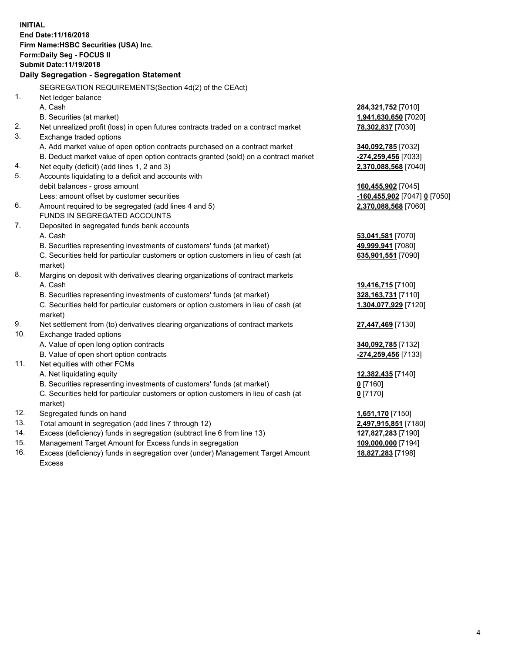|            | <b>INITIAL</b><br>End Date: 11/16/2018<br>Firm Name: HSBC Securities (USA) Inc.<br>Form: Daily Seg - FOCUS II<br>Submit Date: 11/19/2018 |                              |
|------------|------------------------------------------------------------------------------------------------------------------------------------------|------------------------------|
|            | Daily Segregation - Segregation Statement                                                                                                |                              |
|            | SEGREGATION REQUIREMENTS(Section 4d(2) of the CEAct)                                                                                     |                              |
| 1.         | Net ledger balance                                                                                                                       |                              |
|            | A. Cash                                                                                                                                  | 284,321,752 [7010]           |
|            | B. Securities (at market)                                                                                                                | 1,941,630,650 [7020]         |
| 2.         | Net unrealized profit (loss) in open futures contracts traded on a contract market                                                       | 78,302,837 [7030]            |
| 3.         | Exchange traded options                                                                                                                  |                              |
|            | A. Add market value of open option contracts purchased on a contract market                                                              | 340,092,785 [7032]           |
|            | B. Deduct market value of open option contracts granted (sold) on a contract market                                                      | -274,259,456 [7033]          |
| 4.         | Net equity (deficit) (add lines 1, 2 and 3)                                                                                              | 2,370,088,568 [7040]         |
| 5.         | Accounts liquidating to a deficit and accounts with                                                                                      |                              |
|            | debit balances - gross amount                                                                                                            | 160,455,902 [7045]           |
|            | Less: amount offset by customer securities                                                                                               | -160,455,902 [7047] 0 [7050] |
| 6.         | Amount required to be segregated (add lines 4 and 5)                                                                                     | 2,370,088,568 [7060]         |
|            | FUNDS IN SEGREGATED ACCOUNTS                                                                                                             |                              |
| 7.         | Deposited in segregated funds bank accounts                                                                                              |                              |
|            | A. Cash                                                                                                                                  | 53,041,581 [7070]            |
|            | B. Securities representing investments of customers' funds (at market)                                                                   | 49,999,941 [7080]            |
|            | C. Securities held for particular customers or option customers in lieu of cash (at                                                      | 635,901,551 [7090]           |
|            | market)                                                                                                                                  |                              |
| 8.         | Margins on deposit with derivatives clearing organizations of contract markets                                                           |                              |
|            | A. Cash                                                                                                                                  | 19,416,715 [7100]            |
|            | B. Securities representing investments of customers' funds (at market)                                                                   | 328, 163, 731 [7110]         |
|            | C. Securities held for particular customers or option customers in lieu of cash (at                                                      | 1,304,077,929 [7120]         |
|            | market)                                                                                                                                  |                              |
| 9.         | Net settlement from (to) derivatives clearing organizations of contract markets                                                          | 27,447,469 [7130]            |
| 10.        | Exchange traded options                                                                                                                  |                              |
|            | A. Value of open long option contracts                                                                                                   | 340,092,785 [7132]           |
|            | B. Value of open short option contracts                                                                                                  | -274,259,456 [7133]          |
| 11.        | Net equities with other FCMs                                                                                                             |                              |
|            | A. Net liquidating equity                                                                                                                | 12,382,435 [7140]            |
|            | B. Securities representing investments of customers' funds (at market)                                                                   | 0 [7160]                     |
|            | C. Securities held for particular customers or option customers in lieu of cash (at                                                      | $0$ [7170]                   |
|            | market)                                                                                                                                  |                              |
| 12.<br>13. | Segregated funds on hand                                                                                                                 | 1,651,170 [7150]             |
| 14.        | Total amount in segregation (add lines 7 through 12)                                                                                     | 2,497,915,851 [7180]         |
| 15.        | Excess (deficiency) funds in segregation (subtract line 6 from line 13)                                                                  | 127,827,283 [7190]           |
|            | Management Target Amount for Excess funds in segregation                                                                                 | 109,000,000 [7194]           |
| 16.        | Excess (deficiency) funds in segregation over (under) Management Target Amount                                                           | 18,827,283 [7198]            |

16. Excess (deficiency) funds in segregation over (under) Management Target Amount Excess